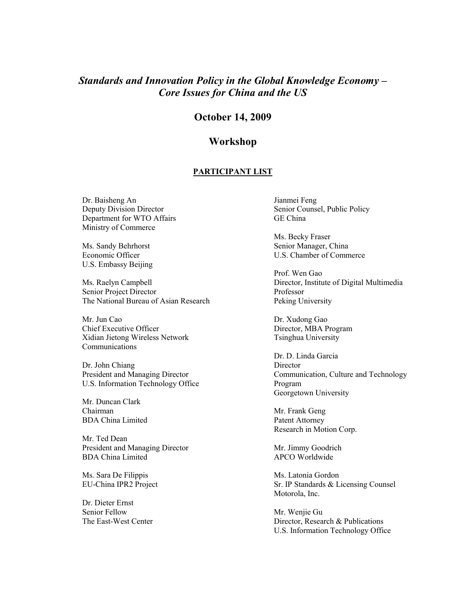## Standards and Innovation Policy in the Global Knowledge Economy – Core Issues for China and the US

## October 14, 2009

## Workshop

## PARTICIPANT LIST

Dr. Baisheng An Deputy Division Director Department for WTO Affairs Ministry of Commerce

Ms. Sandy Behrhorst Economic Officer U.S. Embassy Beijing

Ms. Raelyn Campbell Senior Project Director The National Bureau of Asian Research

Mr. Jun Cao Chief Executive Officer Xidian Jietong Wireless Network Communications

Dr. John Chiang President and Managing Director U.S. Information Technology Office

Mr. Duncan Clark Chairman BDA China Limited

Mr. Ted Dean President and Managing Director BDA China Limited

Ms. Sara De Filippis EU-China IPR2 Project

Dr. Dieter Ernst Senior Fellow The East-West Center Jianmei Feng Senior Counsel, Public Policy GE China

Ms. Becky Fraser Senior Manager, China U.S. Chamber of Commerce

Prof. Wen Gao Director, Institute of Digital Multimedia Professor Peking University

Dr. Xudong Gao Director, MBA Program Tsinghua University

Dr. D. Linda Garcia Director Communication, Culture and Technology Program Georgetown University

Mr. Frank Geng Patent Attorney Research in Motion Corp.

Mr. Jimmy Goodrich APCO Worldwide

Ms. Latonia Gordon Sr. IP Standards & Licensing Counsel Motorola, Inc.

Mr. Wenjie Gu Director, Research & Publications U.S. Information Technology Office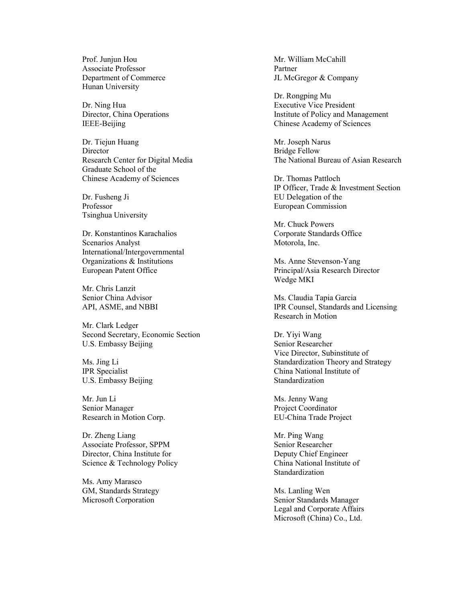Prof. Junjun Hou Associate Professor Department of Commerce Hunan University

Dr. Ning Hua Director, China Operations IEEE-Beijing

Dr. Tiejun Huang **Director** Research Center for Digital Media Graduate School of the Chinese Academy of Sciences

Dr. Fusheng Ji Professor Tsinghua University

Dr. Konstantinos Karachalios Scenarios Analyst International/Intergovernmental Organizations & Institutions European Patent Office

Mr. Chris Lanzit Senior China Advisor API, ASME, and NBBI

Mr. Clark Ledger Second Secretary, Economic Section U.S. Embassy Beijing

Ms. Jing Li IPR Specialist U.S. Embassy Beijing

Mr. Jun Li Senior Manager Research in Motion Corp.

Dr. Zheng Liang Associate Professor, SPPM Director, China Institute for Science & Technology Policy

Ms. Amy Marasco GM, Standards Strategy Microsoft Corporation

Mr. William McCahill Partner JL McGregor & Company

Dr. Rongping Mu Executive Vice President Institute of Policy and Management Chinese Academy of Sciences

Mr. Joseph Narus Bridge Fellow The National Bureau of Asian Research

Dr. Thomas Pattloch IP Officer, Trade & Investment Section EU Delegation of the European Commission

Mr. Chuck Powers Corporate Standards Office Motorola, Inc.

Ms. Anne Stevenson-Yang Principal/Asia Research Director Wedge MKI

Ms. Claudia Tapia Garcia IPR Counsel, Standards and Licensing Research in Motion

Dr. Yiyi Wang Senior Researcher Vice Director, Subinstitute of Standardization Theory and Strategy China National Institute of Standardization

Ms. Jenny Wang Project Coordinator EU-China Trade Project

Mr. Ping Wang Senior Researcher Deputy Chief Engineer China National Institute of Standardization

Ms. Lanling Wen Senior Standards Manager Legal and Corporate Affairs Microsoft (China) Co., Ltd.